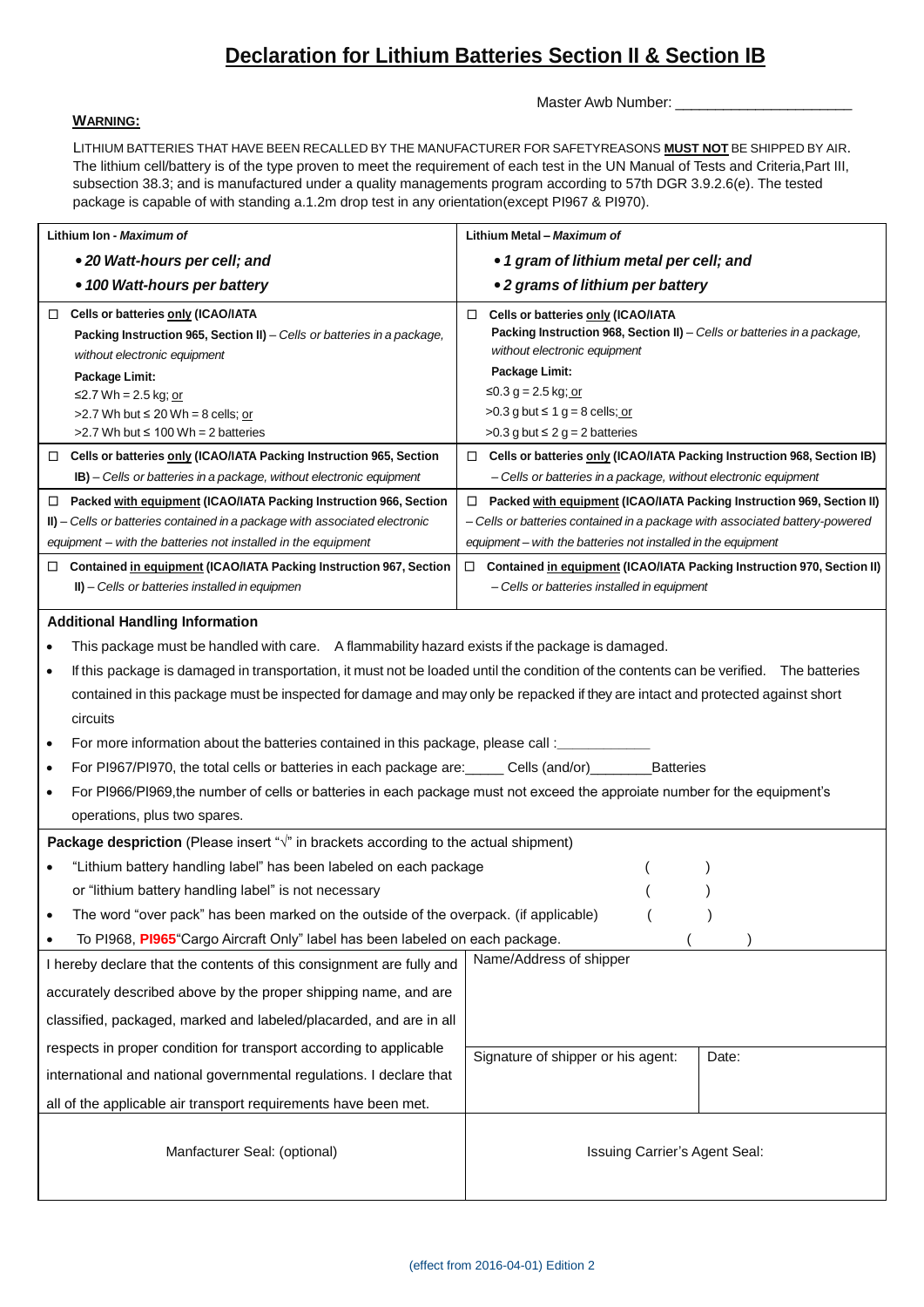## **Declaration for Lithium Batteries Section II & Section IB**

## **WARNING:**

Master Awb Number: \_

LITHIUM BATTERIES THAT HAVE BEEN RECALLED BY THE MANUFACTURER FOR SAFETYREASONS **MUST NOT** BE SHIPPED BY AIR. The lithium cell/battery is of the type proven to meet the requirement of each test in the UN Manual of Tests and Criteria,Part III, subsection 38.3; and is manufactured under a quality managements program according to 57th DGR 3.9.2.6(e). The tested package is capable of with standing a.1.2m drop test in any orientation(except PI967 & PI970).

| Lithium Ion - Maximum of                                                                                                                                                                                                                                                                                                                                | Lithium Metal - Maximum of                                                                                                                                                                                                                                                                                                                              |  |  |  |  |
|---------------------------------------------------------------------------------------------------------------------------------------------------------------------------------------------------------------------------------------------------------------------------------------------------------------------------------------------------------|---------------------------------------------------------------------------------------------------------------------------------------------------------------------------------------------------------------------------------------------------------------------------------------------------------------------------------------------------------|--|--|--|--|
| • 20 Watt-hours per cell; and                                                                                                                                                                                                                                                                                                                           | • 1 gram of lithium metal per cell; and                                                                                                                                                                                                                                                                                                                 |  |  |  |  |
| • 100 Watt-hours per battery                                                                                                                                                                                                                                                                                                                            | • 2 grams of lithium per battery                                                                                                                                                                                                                                                                                                                        |  |  |  |  |
| □ Cells or batteries only (ICAO/IATA<br>Packing Instruction 965, Section II) - Cells or batteries in a package,<br>without electronic equipment<br>Package Limit:<br>≤2.7 Wh = 2.5 kg; <u>or</u><br>>2.7 Wh but $\leq 20$ Wh = 8 cells; or<br>$>2.7$ Wh but $\leq 100$ Wh = 2 batteries                                                                 | Cells or batteries only (ICAO/IATA<br>$\Box$<br>Packing Instruction 968, Section II) - Cells or batteries in a package,<br>without electronic equipment<br>Package Limit:<br>≤0.3 g = 2.5 kg; or<br>>0.3 g but $\leq 1$ g = 8 cells; or<br>$>0.3$ g but $\leq 2$ g = 2 batteries                                                                        |  |  |  |  |
| Cells or batteries only (ICAO/IATA Packing Instruction 965, Section<br>□<br><b>IB)</b> – Cells or batteries in a package, without electronic equipment                                                                                                                                                                                                  | □ Cells or batteries only (ICAO/IATA Packing Instruction 968, Section IB)<br>- Cells or batteries in a package, without electronic equipment                                                                                                                                                                                                            |  |  |  |  |
| Packed with equipment (ICAO/IATA Packing Instruction 966, Section<br>$\Box$<br>II) - Cells or batteries contained in a package with associated electronic<br>equipment – with the batteries not installed in the equipment<br>Contained in equipment (ICAO/IATA Packing Instruction 967, Section<br>□<br>II) - Cells or batteries installed in equipmen | □ Packed with equipment (ICAO/IATA Packing Instruction 969, Section II)<br>- Cells or batteries contained in a package with associated battery-powered<br>equipment – with the batteries not installed in the equipment<br>$\Box$ Contained in equipment (ICAO/IATA Packing Instruction 970, Section II)<br>- Cells or batteries installed in equipment |  |  |  |  |
| <b>Additional Handling Information</b>                                                                                                                                                                                                                                                                                                                  |                                                                                                                                                                                                                                                                                                                                                         |  |  |  |  |
| This package must be handled with care. A flammability hazard exists if the package is damaged.                                                                                                                                                                                                                                                         |                                                                                                                                                                                                                                                                                                                                                         |  |  |  |  |
| If this package is damaged in transportation, it must not be loaded until the condition of the contents can be verified. The batteries                                                                                                                                                                                                                  |                                                                                                                                                                                                                                                                                                                                                         |  |  |  |  |
| contained in this package must be inspected for damage and may only be repacked if they are intact and protected against short<br>circuits<br>For more information about the batteries contained in this package, please call :_<br>$\bullet$                                                                                                           |                                                                                                                                                                                                                                                                                                                                                         |  |  |  |  |
|                                                                                                                                                                                                                                                                                                                                                         | For PI967/PI970, the total cells or batteries in each package are: Cells (and/or)<br><b>Batteries</b>                                                                                                                                                                                                                                                   |  |  |  |  |
| For PI966/PI969, the number of cells or batteries in each package must not exceed the approiate number for the equipment's<br>operations, plus two spares.                                                                                                                                                                                              |                                                                                                                                                                                                                                                                                                                                                         |  |  |  |  |
| Package despriction (Please insert " $\sqrt{n}$ in brackets according to the actual shipment)                                                                                                                                                                                                                                                           |                                                                                                                                                                                                                                                                                                                                                         |  |  |  |  |
| "Lithium battery handling label" has been labeled on each package                                                                                                                                                                                                                                                                                       |                                                                                                                                                                                                                                                                                                                                                         |  |  |  |  |
| or "lithium battery handling label" is not necessary                                                                                                                                                                                                                                                                                                    |                                                                                                                                                                                                                                                                                                                                                         |  |  |  |  |
| The word "over pack" has been marked on the outside of the overpack. (if applicable)                                                                                                                                                                                                                                                                    |                                                                                                                                                                                                                                                                                                                                                         |  |  |  |  |
| To PI968, PI965 "Cargo Aircraft Only" label has been labeled on each package.                                                                                                                                                                                                                                                                           |                                                                                                                                                                                                                                                                                                                                                         |  |  |  |  |
| Name/Address of shipper<br>I hereby declare that the contents of this consignment are fully and                                                                                                                                                                                                                                                         |                                                                                                                                                                                                                                                                                                                                                         |  |  |  |  |
| accurately described above by the proper shipping name, and are                                                                                                                                                                                                                                                                                         |                                                                                                                                                                                                                                                                                                                                                         |  |  |  |  |
| classified, packaged, marked and labeled/placarded, and are in all                                                                                                                                                                                                                                                                                      |                                                                                                                                                                                                                                                                                                                                                         |  |  |  |  |

Manfacturer Seal: (optional) **Interpretity and Seal:** Issuing Carrier's Agent Seal:

Signature of shipper or his agent: | Date:

respects in proper condition for transport according to applicable international and national governmental regulations. I declare that all of the applicable air transport requirements have been met.